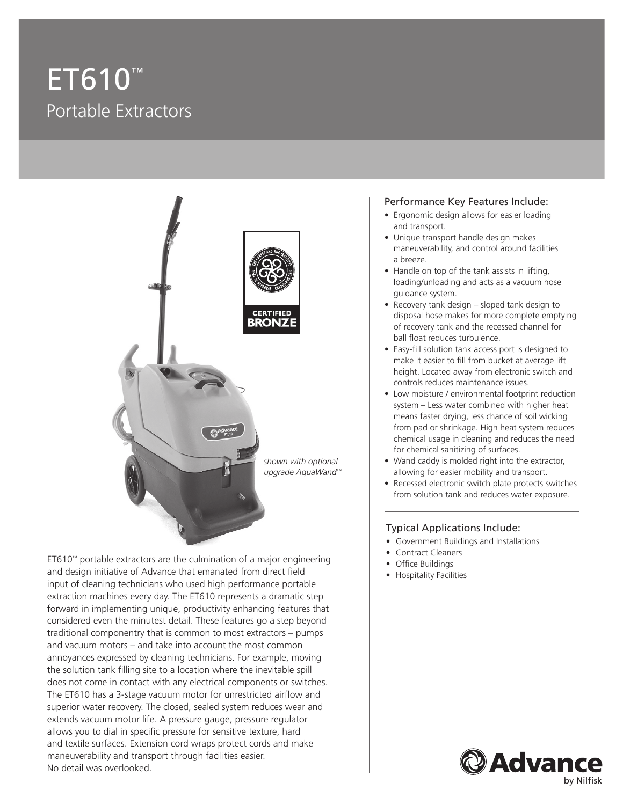# ET610™ Portable Extractors



ET610™ portable extractors are the culmination of a major engineering and design initiative of Advance that emanated from direct field input of cleaning technicians who used high performance portable extraction machines every day. The ET610 represents a dramatic step forward in implementing unique, productivity enhancing features that considered even the minutest detail. These features go a step beyond traditional componentry that is common to most extractors – pumps and vacuum motors – and take into account the most common annoyances expressed by cleaning technicians. For example, moving the solution tank filling site to a location where the inevitable spill does not come in contact with any electrical components or switches. The ET610 has a 3-stage vacuum motor for unrestricted airflow and superior water recovery. The closed, sealed system reduces wear and extends vacuum motor life. A pressure gauge, pressure regulator allows you to dial in specific pressure for sensitive texture, hard and textile surfaces. Extension cord wraps protect cords and make maneuverability and transport through facilities easier. No detail was overlooked.

#### Performance Key Features Include:

- Ergonomic design allows for easier loading and transport.
- Unique transport handle design makes maneuverability, and control around facilities a breeze.
- Handle on top of the tank assists in lifting, loading/unloading and acts as a vacuum hose guidance system.
- Recovery tank design sloped tank design to disposal hose makes for more complete emptying of recovery tank and the recessed channel for ball float reduces turbulence.
- Easy-fill solution tank access port is designed to make it easier to fill from bucket at average lift height. Located away from electronic switch and controls reduces maintenance issues.
- Low moisture / environmental footprint reduction system – Less water combined with higher heat means faster drying, less chance of soil wicking from pad or shrinkage. High heat system reduces chemical usage in cleaning and reduces the need for chemical sanitizing of surfaces.
- Wand caddy is molded right into the extractor, allowing for easier mobility and transport.
- Recessed electronic switch plate protects switches from solution tank and reduces water exposure.

### Typical Applications Include:

- Government Buildings and Installations
- Contract Cleaners
- Office Buildings
- Hospitality Facilities